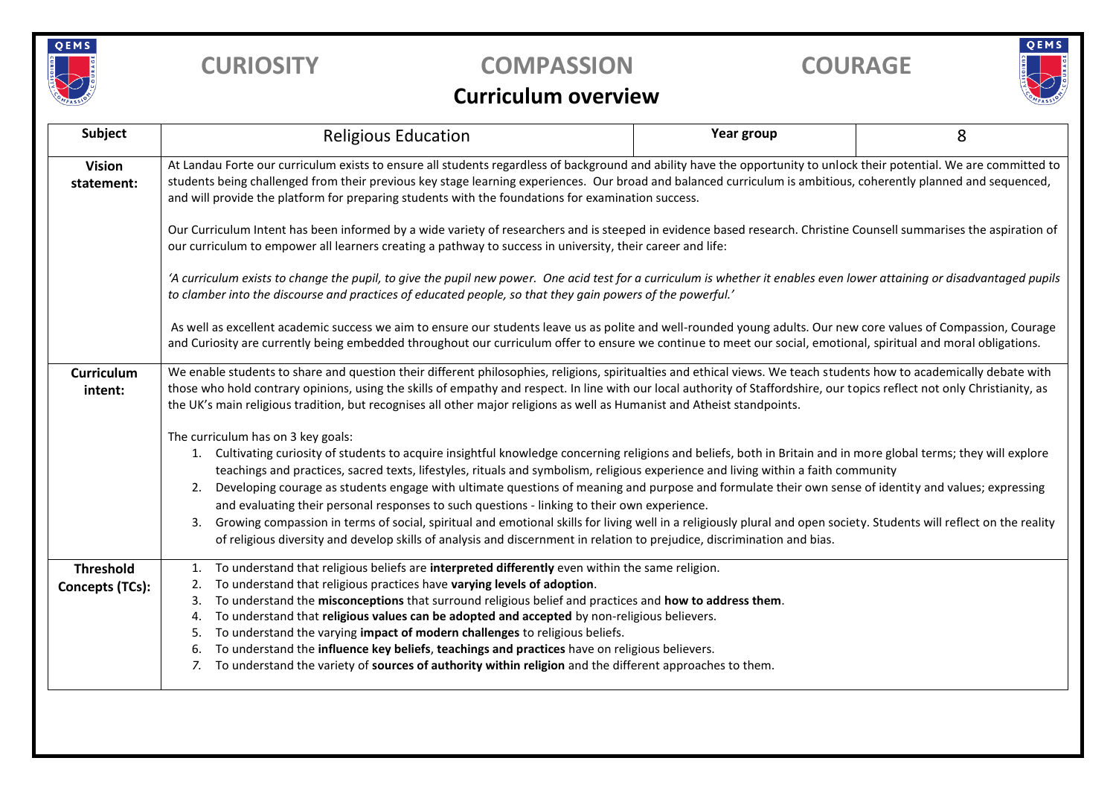

## **CURIOSITY COMPASSION COURAGE**



## **Curriculum overview**

| Subject                             | <b>Religious Education</b>                                                                                                                                                                                                                                                                                                                                                                                                                                                                                                                                                                                                                                                                                                                                                                                                                                                                                                                                                                                                                                                                                                                                                                                                                                                                                                                                            | Year group | 8 |  |  |  |  |
|-------------------------------------|-----------------------------------------------------------------------------------------------------------------------------------------------------------------------------------------------------------------------------------------------------------------------------------------------------------------------------------------------------------------------------------------------------------------------------------------------------------------------------------------------------------------------------------------------------------------------------------------------------------------------------------------------------------------------------------------------------------------------------------------------------------------------------------------------------------------------------------------------------------------------------------------------------------------------------------------------------------------------------------------------------------------------------------------------------------------------------------------------------------------------------------------------------------------------------------------------------------------------------------------------------------------------------------------------------------------------------------------------------------------------|------------|---|--|--|--|--|
| <b>Vision</b><br>statement:         | At Landau Forte our curriculum exists to ensure all students regardless of background and ability have the opportunity to unlock their potential. We are committed to<br>students being challenged from their previous key stage learning experiences. Our broad and balanced curriculum is ambitious, coherently planned and sequenced,<br>and will provide the platform for preparing students with the foundations for examination success.<br>Our Curriculum Intent has been informed by a wide variety of researchers and is steeped in evidence based research. Christine Counsell summarises the aspiration of<br>our curriculum to empower all learners creating a pathway to success in university, their career and life:<br>'A curriculum exists to change the pupil, to give the pupil new power. One acid test for a curriculum is whether it enables even lower attaining or disadvantaged pupils<br>to clamber into the discourse and practices of educated people, so that they gain powers of the powerful.'<br>As well as excellent academic success we aim to ensure our students leave us as polite and well-rounded young adults. Our new core values of Compassion, Courage<br>and Curiosity are currently being embedded throughout our curriculum offer to ensure we continue to meet our social, emotional, spiritual and moral obligations. |            |   |  |  |  |  |
|                                     |                                                                                                                                                                                                                                                                                                                                                                                                                                                                                                                                                                                                                                                                                                                                                                                                                                                                                                                                                                                                                                                                                                                                                                                                                                                                                                                                                                       |            |   |  |  |  |  |
|                                     |                                                                                                                                                                                                                                                                                                                                                                                                                                                                                                                                                                                                                                                                                                                                                                                                                                                                                                                                                                                                                                                                                                                                                                                                                                                                                                                                                                       |            |   |  |  |  |  |
|                                     |                                                                                                                                                                                                                                                                                                                                                                                                                                                                                                                                                                                                                                                                                                                                                                                                                                                                                                                                                                                                                                                                                                                                                                                                                                                                                                                                                                       |            |   |  |  |  |  |
| Curriculum<br>intent:               | We enable students to share and question their different philosophies, religions, spiritualties and ethical views. We teach students how to academically debate with<br>those who hold contrary opinions, using the skills of empathy and respect. In line with our local authority of Staffordshire, our topics reflect not only Christianity, as<br>the UK's main religious tradition, but recognises all other major religions as well as Humanist and Atheist standpoints.                                                                                                                                                                                                                                                                                                                                                                                                                                                                                                                                                                                                                                                                                                                                                                                                                                                                                        |            |   |  |  |  |  |
|                                     | The curriculum has on 3 key goals:<br>1. Cultivating curiosity of students to acquire insightful knowledge concerning religions and beliefs, both in Britain and in more global terms; they will explore<br>teachings and practices, sacred texts, lifestyles, rituals and symbolism, religious experience and living within a faith community<br>Developing courage as students engage with ultimate questions of meaning and purpose and formulate their own sense of identity and values; expressing<br>2.<br>and evaluating their personal responses to such questions - linking to their own experience.<br>Growing compassion in terms of social, spiritual and emotional skills for living well in a religiously plural and open society. Students will reflect on the reality<br>3.<br>of religious diversity and develop skills of analysis and discernment in relation to prejudice, discrimination and bias.                                                                                                                                                                                                                                                                                                                                                                                                                                               |            |   |  |  |  |  |
| <b>Threshold</b><br>Concepts (TCs): | To understand that religious beliefs are interpreted differently even within the same religion.<br>1.<br>To understand that religious practices have varying levels of adoption.<br>2.<br>To understand the misconceptions that surround religious belief and practices and how to address them.<br>3.<br>To understand that religious values can be adopted and accepted by non-religious believers.<br>4.<br>To understand the varying impact of modern challenges to religious beliefs.<br>5.<br>To understand the influence key beliefs, teachings and practices have on religious believers.<br>6.<br>To understand the variety of sources of authority within religion and the different approaches to them.<br>7.                                                                                                                                                                                                                                                                                                                                                                                                                                                                                                                                                                                                                                              |            |   |  |  |  |  |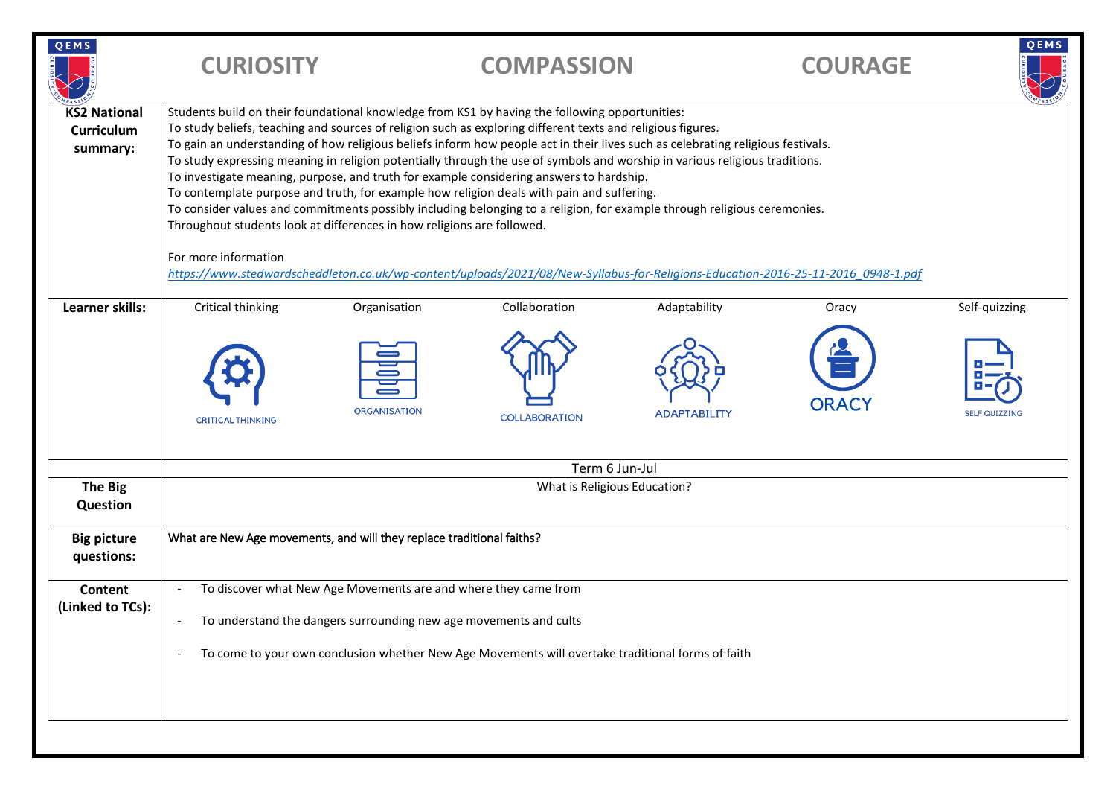| QEMS                                          | <b>CURIOSITY</b>                                                                                                                                                                                                                                                                                                                                                                                                                                                                                                                                                                                                                                                                                                                                                                                                                                                                                                                                                                                                                          |              | <b>COMPASSION</b>    |                     | <b>COURAGE</b> | QEMS                 |
|-----------------------------------------------|-------------------------------------------------------------------------------------------------------------------------------------------------------------------------------------------------------------------------------------------------------------------------------------------------------------------------------------------------------------------------------------------------------------------------------------------------------------------------------------------------------------------------------------------------------------------------------------------------------------------------------------------------------------------------------------------------------------------------------------------------------------------------------------------------------------------------------------------------------------------------------------------------------------------------------------------------------------------------------------------------------------------------------------------|--------------|----------------------|---------------------|----------------|----------------------|
| <b>KS2 National</b><br>Curriculum<br>summary: | Students build on their foundational knowledge from KS1 by having the following opportunities:<br>To study beliefs, teaching and sources of religion such as exploring different texts and religious figures.<br>To gain an understanding of how religious beliefs inform how people act in their lives such as celebrating religious festivals.<br>To study expressing meaning in religion potentially through the use of symbols and worship in various religious traditions.<br>To investigate meaning, purpose, and truth for example considering answers to hardship.<br>To contemplate purpose and truth, for example how religion deals with pain and suffering.<br>To consider values and commitments possibly including belonging to a religion, for example through religious ceremonies.<br>Throughout students look at differences in how religions are followed.<br>For more information<br>https://www.stedwardscheddleton.co.uk/wp-content/uploads/2021/08/New-Syllabus-for-Religions-Education-2016-25-11-2016 0948-1.pdf |              |                      |                     |                |                      |
| Learner skills:                               | Critical thinking                                                                                                                                                                                                                                                                                                                                                                                                                                                                                                                                                                                                                                                                                                                                                                                                                                                                                                                                                                                                                         | Organisation | Collaboration        | Adaptability        | Oracy          | Self-quizzing        |
|                                               | <b>CRITICAL THINKING</b>                                                                                                                                                                                                                                                                                                                                                                                                                                                                                                                                                                                                                                                                                                                                                                                                                                                                                                                                                                                                                  | ORGANISATION | <b>COLLABORATION</b> | <b>ADAPTABILITY</b> | <b>ORACY</b>   | <b>SELF QUIZZING</b> |
|                                               | Term 6 Jun-Jul                                                                                                                                                                                                                                                                                                                                                                                                                                                                                                                                                                                                                                                                                                                                                                                                                                                                                                                                                                                                                            |              |                      |                     |                |                      |
| <b>The Big</b><br>Question                    | What is Religious Education?                                                                                                                                                                                                                                                                                                                                                                                                                                                                                                                                                                                                                                                                                                                                                                                                                                                                                                                                                                                                              |              |                      |                     |                |                      |
| <b>Big picture</b><br>questions:              | What are New Age movements, and will they replace traditional faiths?                                                                                                                                                                                                                                                                                                                                                                                                                                                                                                                                                                                                                                                                                                                                                                                                                                                                                                                                                                     |              |                      |                     |                |                      |
| Content<br>(Linked to TCs):                   | To discover what New Age Movements are and where they came from<br>To understand the dangers surrounding new age movements and cults<br>To come to your own conclusion whether New Age Movements will overtake traditional forms of faith                                                                                                                                                                                                                                                                                                                                                                                                                                                                                                                                                                                                                                                                                                                                                                                                 |              |                      |                     |                |                      |
|                                               |                                                                                                                                                                                                                                                                                                                                                                                                                                                                                                                                                                                                                                                                                                                                                                                                                                                                                                                                                                                                                                           |              |                      |                     |                |                      |